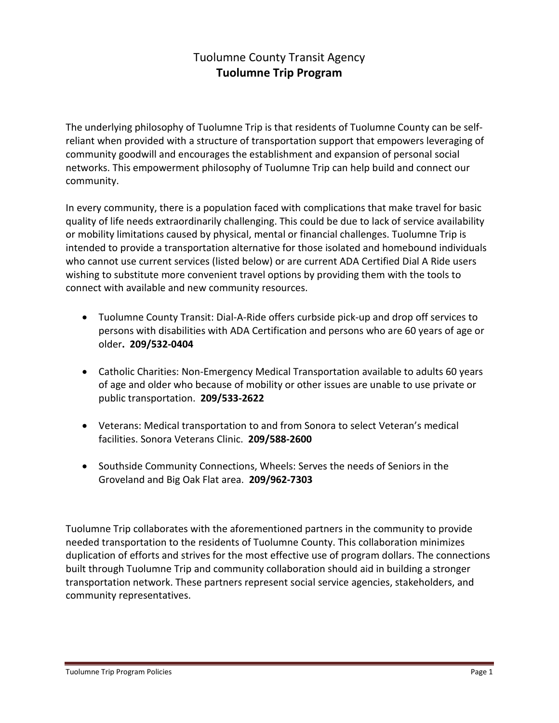# Tuolumne County Transit Agency **Tuolumne Trip Program**

The underlying philosophy of Tuolumne Trip is that residents of Tuolumne County can be selfreliant when provided with a structure of transportation support that empowers leveraging of community goodwill and encourages the establishment and expansion of personal social networks. This empowerment philosophy of Tuolumne Trip can help build and connect our community.

In every community, there is a population faced with complications that make travel for basic quality of life needs extraordinarily challenging. This could be due to lack of service availability or mobility limitations caused by physical, mental or financial challenges. Tuolumne Trip is intended to provide a transportation alternative for those isolated and homebound individuals who cannot use current services (listed below) or are current ADA Certified Dial A Ride users wishing to substitute more convenient travel options by providing them with the tools to connect with available and new community resources.

- Tuolumne County Transit: Dial-A-Ride offers curbside pick-up and drop off services to persons with disabilities with ADA Certification and persons who are 60 years of age or older**. 209/532-0404**
- Catholic Charities: Non-Emergency Medical Transportation available to adults 60 years of age and older who because of mobility or other issues are unable to use private or public transportation. **209/533-2622**
- Veterans: Medical transportation to and from Sonora to select Veteran's medical facilities. Sonora Veterans Clinic. **209/588-2600**
- Southside Community Connections, Wheels: Serves the needs of Seniors in the Groveland and Big Oak Flat area. **209/962-7303**

Tuolumne Trip collaborates with the aforementioned partners in the community to provide needed transportation to the residents of Tuolumne County. This collaboration minimizes duplication of efforts and strives for the most effective use of program dollars. The connections built through Tuolumne Trip and community collaboration should aid in building a stronger transportation network. These partners represent social service agencies, stakeholders, and community representatives.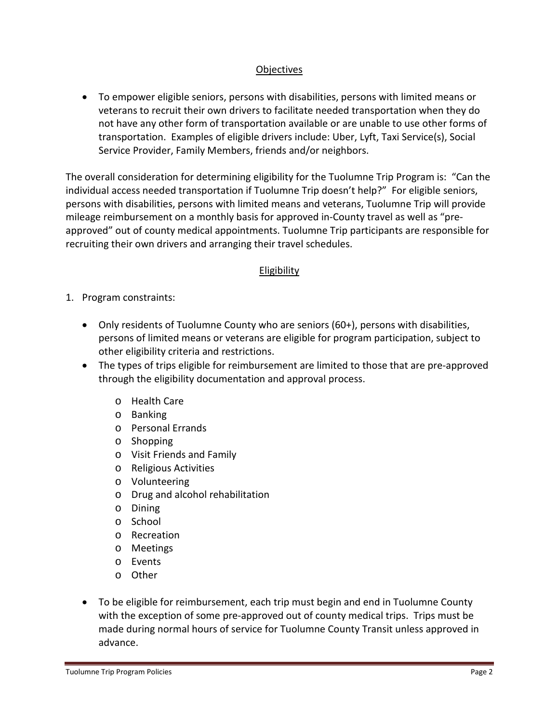## **Objectives**

• To empower eligible seniors, persons with disabilities, persons with limited means or veterans to recruit their own drivers to facilitate needed transportation when they do not have any other form of transportation available or are unable to use other forms of transportation. Examples of eligible drivers include: Uber, Lyft, Taxi Service(s), Social Service Provider, Family Members, friends and/or neighbors.

The overall consideration for determining eligibility for the Tuolumne Trip Program is: "Can the individual access needed transportation if Tuolumne Trip doesn't help?" For eligible seniors, persons with disabilities, persons with limited means and veterans, Tuolumne Trip will provide mileage reimbursement on a monthly basis for approved in-County travel as well as "preapproved" out of county medical appointments. Tuolumne Trip participants are responsible for recruiting their own drivers and arranging their travel schedules.

## Eligibility

- 1. Program constraints:
	- Only residents of Tuolumne County who are seniors (60+), persons with disabilities, persons of limited means or veterans are eligible for program participation, subject to other eligibility criteria and restrictions.
	- The types of trips eligible for reimbursement are limited to those that are pre-approved through the eligibility documentation and approval process.
		- o Health Care
		- o Banking
		- o Personal Errands
		- o Shopping
		- o Visit Friends and Family
		- o Religious Activities
		- o Volunteering
		- o Drug and alcohol rehabilitation
		- o Dining
		- o School
		- o Recreation
		- o Meetings
		- o Events
		- o Other
	- To be eligible for reimbursement, each trip must begin and end in Tuolumne County with the exception of some pre-approved out of county medical trips. Trips must be made during normal hours of service for Tuolumne County Transit unless approved in advance.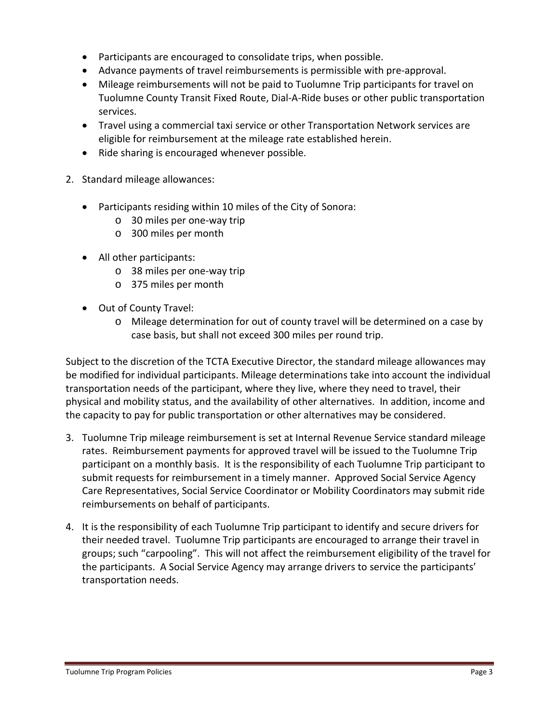- Participants are encouraged to consolidate trips, when possible.
- Advance payments of travel reimbursements is permissible with pre-approval.
- Mileage reimbursements will not be paid to Tuolumne Trip participants for travel on Tuolumne County Transit Fixed Route, Dial-A-Ride buses or other public transportation services.
- Travel using a commercial taxi service or other Transportation Network services are eligible for reimbursement at the mileage rate established herein.
- Ride sharing is encouraged whenever possible.
- 2. Standard mileage allowances:
	- Participants residing within 10 miles of the City of Sonora:
		- o 30 miles per one-way trip
		- o 300 miles per month
	- All other participants:
		- o 38 miles per one-way trip
		- o 375 miles per month
	- Out of County Travel:
		- o Mileage determination for out of county travel will be determined on a case by case basis, but shall not exceed 300 miles per round trip.

Subject to the discretion of the TCTA Executive Director, the standard mileage allowances may be modified for individual participants. Mileage determinations take into account the individual transportation needs of the participant, where they live, where they need to travel, their physical and mobility status, and the availability of other alternatives. In addition, income and the capacity to pay for public transportation or other alternatives may be considered.

- 3. Tuolumne Trip mileage reimbursement is set at Internal Revenue Service standard mileage rates. Reimbursement payments for approved travel will be issued to the Tuolumne Trip participant on a monthly basis. It is the responsibility of each Tuolumne Trip participant to submit requests for reimbursement in a timely manner. Approved Social Service Agency Care Representatives, Social Service Coordinator or Mobility Coordinators may submit ride reimbursements on behalf of participants.
- 4. It is the responsibility of each Tuolumne Trip participant to identify and secure drivers for their needed travel. Tuolumne Trip participants are encouraged to arrange their travel in groups; such "carpooling". This will not affect the reimbursement eligibility of the travel for the participants. A Social Service Agency may arrange drivers to service the participants' transportation needs.